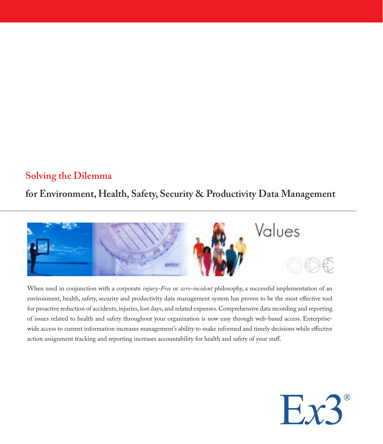#### **Solving the Dilemma**

**for Environment, Health, Safety, Security & Productivity Data Management**



When used in conjunction with a corporate *injury-Free* or *zero-incident* philosophy, a successful implementation of an environment, health, safety, security and productivity data management system has proven to be the most effective tool for proactive reduction of accidents, injuries, lost days, and related expenses. Comprehensive data recording and reporting of issues related to health and safety throughout your organization is now easy through web-based access. Enterprisewide access to current information increases management's ability to make informed and timely decisions while effective action assignment tracking and reporting increases accountability for health and safety of your staff.

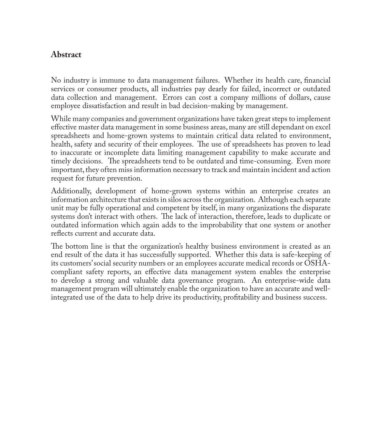#### **Abstract**

No industry is immune to data management failures. Whether its health care, financial services or consumer products, all industries pay dearly for failed, incorrect or outdated data collection and management. Errors can cost a company millions of dollars, cause employee dissatisfaction and result in bad decision-making by management.

While many companies and government organizations have taken great steps to implement effective master data management in some business areas, many are still dependant on excel spreadsheets and home-grown systems to maintain critical data related to environment, health, safety and security of their employees. The use of spreadsheets has proven to lead to inaccurate or incomplete data limiting management capability to make accurate and timely decisions. The spreadsheets tend to be outdated and time-consuming. Even more important, they often miss information necessary to track and maintain incident and action request for future prevention.

Additionally, development of home-grown systems within an enterprise creates an information architecture that exists in silos across the organization. Although each separate unit may be fully operational and competent by itself, in many organizations the disparate systems don't interact with others. The lack of interaction, therefore, leads to duplicate or outdated information which again adds to the improbability that one system or another reflects current and accurate data.

The bottom line is that the organization's healthy business environment is created as an end result of the data it has successfully supported. Whether this data is safe-keeping of its customers' social security numbers or an employees accurate medical records or OSHAcompliant safety reports, an effective data management system enables the enterprise to develop a strong and valuable data governance program. An enterprise-wide data management program will ultimately enable the organization to have an accurate and wellintegrated use of the data to help drive its productivity, profitability and business success.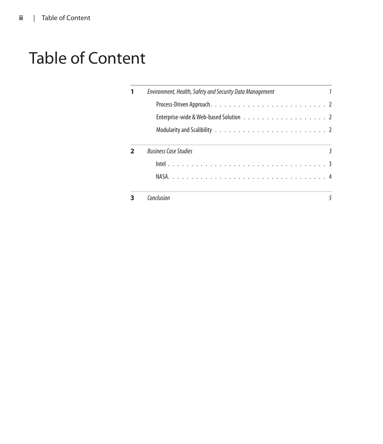## Table of Content

|  | Environment, Health, Safety and Security Data Management |
|--|----------------------------------------------------------|
|  |                                                          |
|  |                                                          |
|  |                                                          |
|  | <b>Business Case Studies</b>                             |
|  |                                                          |
|  |                                                          |
|  | Conclusion                                               |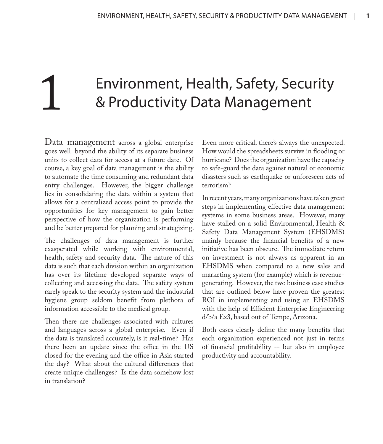## Environment, Health, Safety, Security & Productivity Data Management

Data management across a global enterprise goes well beyond the ability of its separate business units to collect data for access at a future date. Of course, a key goal of data management is the ability to automate the time consuming and redundant data entry challenges. However, the bigger challenge lies in consolidating the data within a system that allows for a centralized access point to provide the opportunities for key management to gain better perspective of how the organization is performing and be better prepared for planning and strategizing.

The challenges of data management is further exasperated while working with environmental, health, safety and security data. The nature of this data is such that each division within an organization has over its lifetime developed separate ways of collecting and accessing the data. The safety system rarely speak to the security system and the industrial hygiene group seldom benefit from plethora of information accessible to the medical group.

Then there are challenges associated with cultures and languages across a global enterprise. Even if the data is translated accurately, is it real-time? Has there been an update since the office in the US closed for the evening and the office in Asia started the day? What about the cultural differences that create unique challenges? Is the data somehow lost in translation?

Even more critical, there's always the unexpected. How would the spreadsheets survive in flooding or hurricane? Does the organization have the capacity to safe-guard the data against natural or economic disasters such as earthquake or unforeseen acts of terrorism?

In recent years, many organizations have taken great steps in implementing effective data management systems in some business areas. However, many have stalled on a solid Environmental, Health & Safety Data Management System (EHSDMS) mainly because the financial benefits of a new initiative has been obscure. The immediate return on investment is not always as apparent in an EHSDMS when compared to a new sales and marketing system (for example) which is revenuegenerating. However, the two business case studies that are outlined below have proven the greatest ROI in implementing and using an EHSDMS with the help of Efficient Enterprise Engineering d/b/a Ex3, based out of Tempe, Arizona.

Both cases clearly define the many benefits that each organization experienced not just in terms of financial profitability -- but also in employee productivity and accountability.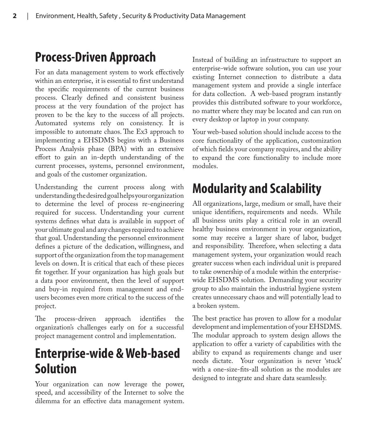### **Process-Driven Approach**

For an data management system to work effectively within an enterprise, it is essential to first understand the specific requirements of the current business process. Clearly defined and consistent business process at the very foundation of the project has proven to be the key to the success of all projects. Automated systems rely on consistency. It is impossible to automate chaos. The Ex3 approach to implementing a EHSDMS begins with a Business Process Analysis phase (BPA) with an extensive effort to gain an in-depth understanding of the current processes, systems, personnel environment, and goals of the customer organization.

Understanding the current process along with understanding the desired goal helps your organization to determine the level of process re-engineering required for success. Understanding your current systems defines what data is available in support of your ultimate goal and any changes required to achieve that goal. Understanding the personnel environment defines a picture of the dedication, willingness, and support of the organization from the top management levels on down. It is critical that each of these pieces fit together. If your organization has high goals but a data poor environment, then the level of support and buy-in required from management and endusers becomes even more critical to the success of the project.

The process-driven approach identifies the organization's challenges early on for a successful project management control and implementation.

### **Enterprise-wide & Web-based Solution**

Your organization can now leverage the power, speed, and accessibility of the Internet to solve the dilemma for an effective data management system. Instead of building an infrastructure to support an enterprise-wide software solution, you can use your existing Internet connection to distribute a data management system and provide a single interface for data collection. A web-based program instantly provides this distributed software to your workforce, no matter where they may be located and can run on every desktop or laptop in your company.

Your web-based solution should include access to the core functionality of the application, customization of which fields your company requires, and the ability to expand the core functionality to include more modules.

### **Modularity and Scalability**

All organizations, large, medium or small, have their unique identifiers, requirements and needs. While all business units play a critical role in an overall healthy business environment in your organization, some may receive a larger share of labor, budget and responsibility. Therefore, when selecting a data management system, your organization would reach greater success when each individual unit is prepared to take ownership of a module within the enterprisewide EHSDMS solution. Demanding your security group to also maintain the industrial hygiene system creates unnecessary chaos and will potentially lead to a broken system.

The best practice has proven to allow for a modular development and implementation of your EHSDMS. The modular approach to system design allows the application to offer a variety of capabilities with the ability to expand as requirements change and user needs dictate. Your organization is never 'stuck' with a one-size-fits-all solution as the modules are designed to integrate and share data seamlessly.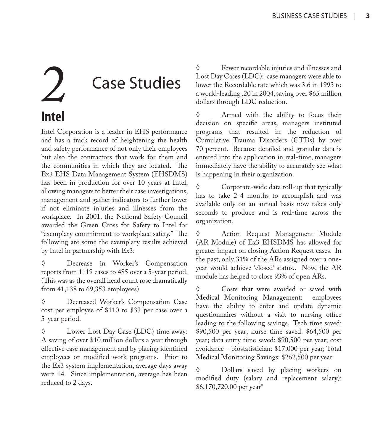# **Case Studies Intel**

Intel Corporation is a leader in EHS performance and has a track record of heightening the health and safety performance of not only their employees but also the contractors that work for them and the communities in which they are located. The Ex3 EHS Data Management System (EHSDMS) has been in production for over 10 years at Intel, allowing managers to better their case investigations, management and gather indicators to further lower if not eliminate injuries and illnesses from the workplace. In 2001, the National Safety Council awarded the Green Cross for Safety to Intel for "exemplary commitment to workplace safety." The following are some the exemplary results achieved by Intel in partnership with Ex3:

◊ Decrease in Worker's Compensation reports from 1119 cases to 485 over a 5-year period. (This was as the overall head count rose dramatically from 41,138 to 69,353 employees)

◊ Decreased Worker's Compensation Case cost per employee of \$110 to \$33 per case over a 5-year period.

◊ Lower Lost Day Case (LDC) time away: A saving of over \$10 million dollars a year through effective case management and by placing identified employees on modified work programs. Prior to the Ex3 system implementation, average days away were 14. Since implementation, average has been reduced to 2 days.

◊ Fewer recordable injuries and illnesses and Lost Day Cases (LDC): case managers were able to lower the Recordable rate which was 3.6 in 1993 to a world-leading .20 in 2004, saving over \$65 million dollars through LDC reduction.

◊ Armed with the ability to focus their decision on specific areas, managers instituted programs that resulted in the reduction of Cumulative Trauma Disorders (CTDs) by over 70 percent. Because detailed and granular data is entered into the application in real-time, managers immediately have the ability to accurately see what is happening in their organization.

Corporate-wide data roll-up that typically has to take 2-4 months to accomplish and was available only on an annual basis now takes only seconds to produce and is real-time across the organization.

◊ Action Request Management Module (AR Module) of Ex3 EHSDMS has allowed for greater impact on closing Action Request cases. In the past, only 31% of the ARs assigned over a oneyear would achieve 'closed' status.. Now, the AR module has helped to close 93% of open ARs.

◊ Costs that were avoided or saved with Medical Monitoring Management: employees have the ability to enter and update dynamic questionnaires without a visit to nursing office leading to the following savings. Tech time saved: \$90,500 per year; nurse time saved: \$64,500 per year; data entry time saved: \$90,500 per year; cost avoidance - biostatistician: \$17,000 per year; Total Medical Monitoring Savings: \$262,500 per year

◊ Dollars saved by placing workers on modified duty (salary and replacement salary): \$6,170,720.00 per year\*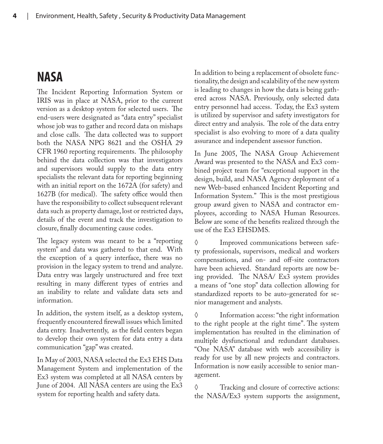#### **NASA**

The Incident Reporting Information System or IRIS was in place at NASA, prior to the current version as a desktop system for selected users. The end-users were designated as "data entry" specialist whose job was to gather and record data on mishaps and close calls. The data collected was to support both the NASA NPG 8621 and the OSHA 29 CFR 1960 reporting requirements. The philosophy behind the data collection was that investigators and supervisors would supply to the data entry specialists the relevant data for reporting beginning with an initial report on the 1672A (for safety) and 1627B (for medical). The safety office would then have the responsibility to collect subsequent relevant data such as property damage, lost or restricted days, details of the event and track the investigation to closure, finally documenting cause codes.

The legacy system was meant to be a "reporting system" and data was gathered to that end. With the exception of a query interface, there was no provision in the legacy system to trend and analyze. Data entry was largely unstructured and free text resulting in many different types of entries and an inability to relate and validate data sets and information.

In addition, the system itself, as a desktop system, frequently encountered firewall issues which limited data entry. Inadvertently, as the field centers began to develop their own system for data entry a data communication "gap" was created.

In May of 2003, NASA selected the Ex3 EHS Data Management System and implementation of the Ex3 system was completed at all NASA centers by June of 2004. All NASA centers are using the Ex3 system for reporting health and safety data.

In addition to being a replacement of obsolete functionality, the design and scalability of the new system is leading to changes in how the data is being gathered across NASA. Previously, only selected data entry personnel had access. Today, the Ex3 system is utilized by supervisor and safety investigators for direct entry and analysis. The role of the data entry specialist is also evolving to more of a data quality assurance and independent assessor function.

In June 2005, The NASA Group Achievement Award was presented to the NASA and Ex3 combined project team for "exceptional support in the design, build, and NASA Agency deployment of a new Web-based enhanced Incident Reporting and Information System." This is the most prestigious group award given to NASA and contractor employees, according to NASA Human Resources. Below are some of the benefits realized through the use of the Ex3 EHSDMS.

◊ Improved communications between safety professionals, supervisors, medical and workers compensations, and on- and off-site contractors have been achieved. Standard reports are now being provided. The NASA/ Ex3 system provides a means of "one stop" data collection allowing for standardized reports to be auto-generated for senior management and analysts.

◊ Information access: "the right information to the right people at the right time". The system implementation has resulted in the elimination of multiple dysfunctional and redundant databases. "One NASA" database with web accessibility is ready for use by all new projects and contractors. Information is now easily accessible to senior management.

◊ Tracking and closure of corrective actions: the NASA/Ex3 system supports the assignment,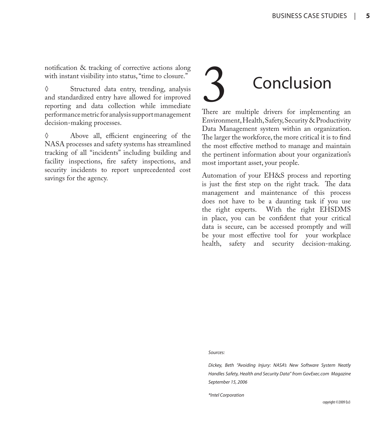notification & tracking of corrective actions along with instant visibility into status, "time to closure."

◊ Structured data entry, trending, analysis and standardized entry have allowed for improved reporting and data collection while immediate performance metric for analysis support management decision-making processes.

Above all, efficient engineering of the NASA processes and safety systems has streamlined tracking of all "incidents" including building and facility inspections, fire safety inspections, and security incidents to report unprecedented cost savings for the agency.

# **Conclusion**

There are multiple drivers for implementing an Environment, Health, Safety, Security & Productivity Data Management system within an organization. The larger the workforce, the more critical it is to find the most effective method to manage and maintain the pertinent information about your organization's most important asset, your people.

Automation of your EH&S process and reporting is just the first step on the right track. The data management and maintenance of this process does not have to be a daunting task if you use the right experts. With the right EHSDMS in place, you can be confident that your critical data is secure, can be accessed promptly and will be your most effective tool for your workplace health, safety and security decision-making.

*Sources:*

*Dickey, Beth "Avoiding Injury: NASA's New Software System Neatly Handles Safety, Health and Security Data" from GovExec.com Magazine September 15, 2006*

*\*Intel Corporation*